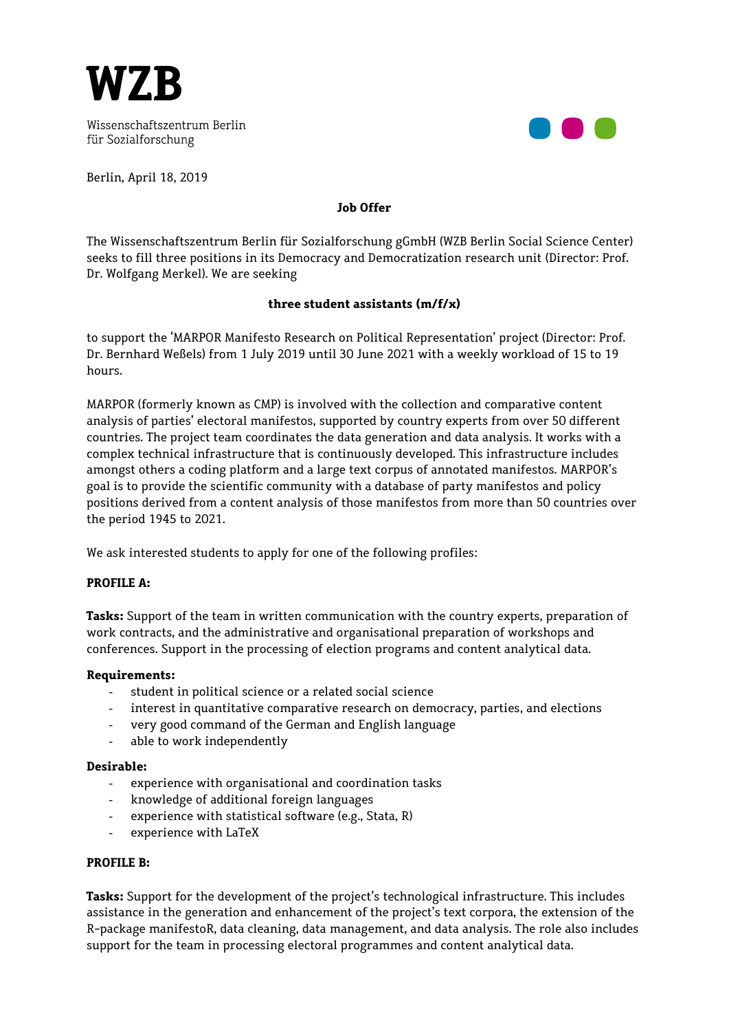

Wissenschaftszentrum Berlin für Sozialforschung

Berlin, April 18, 2019

# **Job Offer**

The Wissenschaftszentrum Berlin für Sozialforschung gGmbH (WZB Berlin Social Science Center) seeks to fill three positions in its Democracy and Democratization research unit (Director: Prof. Dr. Wolfgang Merkel). We are seeking

### **three student assistants (m/f/x)**

to support the 'MARPOR Manifesto Research on Political Representation' project (Director: Prof. Dr. Bernhard Weßels) from 1 July 2019 until 30 June 2021 with a weekly workload of 15 to 19 hours.

MARPOR (formerly known as CMP) is involved with the collection and comparative content analysis of parties' electoral manifestos, supported by country experts from over 50 different countries. The project team coordinates the data generation and data analysis. It works with a complex technical infrastructure that is continuously developed. This infrastructure includes amongst others a coding platform and a large text corpus of annotated manifestos. MARPOR's goal is to provide the scientific community with a database of party manifestos and policy positions derived from a content analysis of those manifestos from more than 50 countries over the period 1945 to 2021.

We ask interested students to apply for one of the following profiles:

### **PROFILE A:**

**Tasks:** Support of the team in written communication with the country experts, preparation of work contracts, and the administrative and organisational preparation of workshops and conferences. Support in the processing of election programs and content analytical data.

### **Requirements:**

- student in political science or a related social science
- interest in quantitative comparative research on democracy, parties, and elections
- very good command of the German and English language
- able to work independently

### **Desirable:**

- experience with organisational and coordination tasks
- knowledge of additional foreign languages
- experience with statistical software (e.g., Stata, R)
- experience with LaTeX

### **PROFILE B:**

**Tasks:** Support for the development of the project's technological infrastructure. This includes assistance in the generation and enhancement of the project's text corpora, the extension of the R-package manifestoR, data cleaning, data management, and data analysis. The role also includes support for the team in processing electoral programmes and content analytical data.